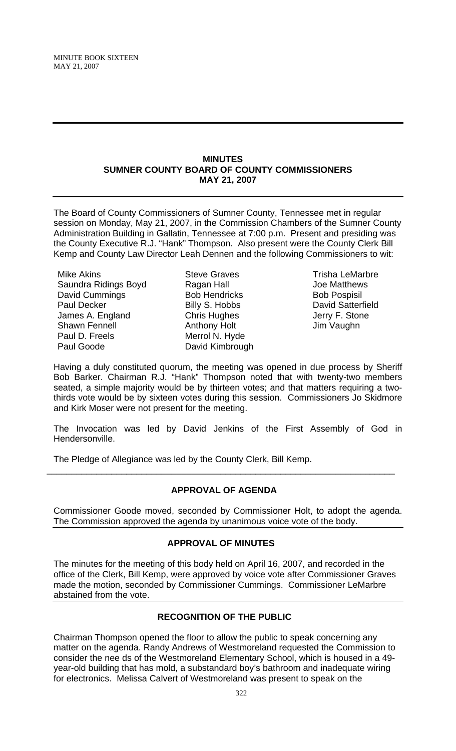#### **MINUTES SUMNER COUNTY BOARD OF COUNTY COMMISSIONERS MAY 21, 2007**

The Board of County Commissioners of Sumner County, Tennessee met in regular session on Monday, May 21, 2007, in the Commission Chambers of the Sumner County Administration Building in Gallatin, Tennessee at 7:00 p.m. Present and presiding was the County Executive R.J. "Hank" Thompson. Also present were the County Clerk Bill Kemp and County Law Director Leah Dennen and the following Commissioners to wit:

Mike Akins Saundra Ridings Boyd David Cummings Paul Decker James A. England Shawn Fennell Paul D. Freels Paul Goode

Steve Graves Ragan Hall Bob Hendricks Billy S. Hobbs Chris Hughes Anthony Holt Merrol N. Hyde David Kimbrough

Trisha LeMarbre Joe Matthews Bob Pospisil David Satterfield Jerry F. Stone Jim Vaughn

Having a duly constituted quorum, the meeting was opened in due process by Sheriff Bob Barker. Chairman R.J. "Hank" Thompson noted that with twenty-two members seated, a simple majority would be by thirteen votes; and that matters requiring a twothirds vote would be by sixteen votes during this session. Commissioners Jo Skidmore and Kirk Moser were not present for the meeting.

The Invocation was led by David Jenkins of the First Assembly of God in Hendersonville.

The Pledge of Allegiance was led by the County Clerk, Bill Kemp.

# **APPROVAL OF AGENDA**

\_\_\_\_\_\_\_\_\_\_\_\_\_\_\_\_\_\_\_\_\_\_\_\_\_\_\_\_\_\_\_\_\_\_\_\_\_\_\_\_\_\_\_\_\_\_\_\_\_\_\_\_\_\_\_\_\_\_\_\_\_\_\_\_\_\_\_\_\_\_

Commissioner Goode moved, seconded by Commissioner Holt, to adopt the agenda. The Commission approved the agenda by unanimous voice vote of the body.

# **APPROVAL OF MINUTES**

The minutes for the meeting of this body held on April 16, 2007, and recorded in the office of the Clerk, Bill Kemp, were approved by voice vote after Commissioner Graves made the motion, seconded by Commissioner Cummings. Commissioner LeMarbre abstained from the vote.

# **RECOGNITION OF THE PUBLIC**

Chairman Thompson opened the floor to allow the public to speak concerning any matter on the agenda. Randy Andrews of Westmoreland requested the Commission to consider the nee ds of the Westmoreland Elementary School, which is housed in a 49 year-old building that has mold, a substandard boy's bathroom and inadequate wiring for electronics. Melissa Calvert of Westmoreland was present to speak on the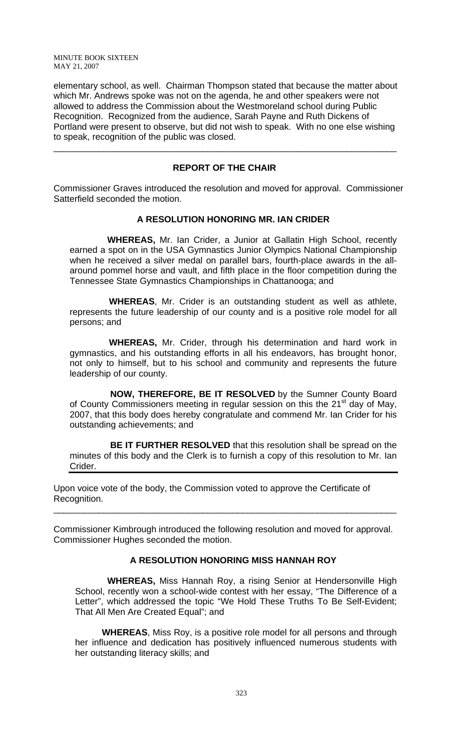elementary school, as well. Chairman Thompson stated that because the matter about which Mr. Andrews spoke was not on the agenda, he and other speakers were not allowed to address the Commission about the Westmoreland school during Public Recognition. Recognized from the audience, Sarah Payne and Ruth Dickens of Portland were present to observe, but did not wish to speak. With no one else wishing to speak, recognition of the public was closed.

## **REPORT OF THE CHAIR**

\_\_\_\_\_\_\_\_\_\_\_\_\_\_\_\_\_\_\_\_\_\_\_\_\_\_\_\_\_\_\_\_\_\_\_\_\_\_\_\_\_\_\_\_\_\_\_\_\_\_\_\_\_\_\_\_\_\_\_\_\_\_\_\_\_\_\_\_\_

Commissioner Graves introduced the resolution and moved for approval. Commissioner Satterfield seconded the motion.

### **A RESOLUTION HONORING MR. IAN CRIDER**

 **WHEREAS,** Mr. Ian Crider, a Junior at Gallatin High School, recently earned a spot on in the USA Gymnastics Junior Olympics National Championship when he received a silver medal on parallel bars, fourth-place awards in the allaround pommel horse and vault, and fifth place in the floor competition during the Tennessee State Gymnastics Championships in Chattanooga; and

 **WHEREAS**, Mr. Crider is an outstanding student as well as athlete, represents the future leadership of our county and is a positive role model for all persons; and

 **WHEREAS,** Mr. Crider, through his determination and hard work in gymnastics, and his outstanding efforts in all his endeavors, has brought honor, not only to himself, but to his school and community and represents the future leadership of our county.

 **NOW, THEREFORE, BE IT RESOLVED** by the Sumner County Board of County Commissioners meeting in regular session on this the 21<sup>st</sup> day of May, 2007, that this body does hereby congratulate and commend Mr. Ian Crider for his outstanding achievements; and

 **BE IT FURTHER RESOLVED** that this resolution shall be spread on the minutes of this body and the Clerk is to furnish a copy of this resolution to Mr. Ian Crider.

Upon voice vote of the body, the Commission voted to approve the Certificate of Recognition.

Commissioner Kimbrough introduced the following resolution and moved for approval. Commissioner Hughes seconded the motion.

\_\_\_\_\_\_\_\_\_\_\_\_\_\_\_\_\_\_\_\_\_\_\_\_\_\_\_\_\_\_\_\_\_\_\_\_\_\_\_\_\_\_\_\_\_\_\_\_\_\_\_\_\_\_\_\_\_\_\_\_\_\_\_\_\_\_\_\_\_

#### **A RESOLUTION HONORING MISS HANNAH ROY**

 **WHEREAS,** Miss Hannah Roy, a rising Senior at Hendersonville High School, recently won a school-wide contest with her essay, "The Difference of a Letter", which addressed the topic "We Hold These Truths To Be Self-Evident; That All Men Are Created Equal"; and

**WHEREAS**, Miss Roy, is a positive role model for all persons and through her influence and dedication has positively influenced numerous students with her outstanding literacy skills; and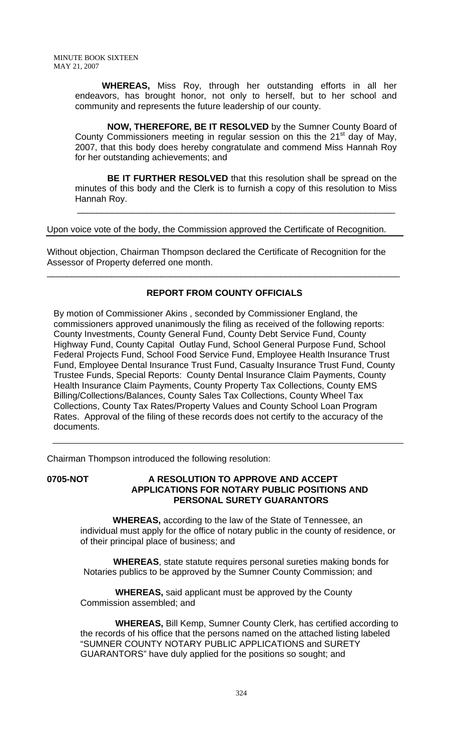> **WHEREAS,** Miss Roy, through her outstanding efforts in all her endeavors, has brought honor, not only to herself, but to her school and community and represents the future leadership of our county.

> **NOW, THEREFORE, BE IT RESOLVED** by the Sumner County Board of County Commissioners meeting in regular session on this the 21<sup>st</sup> day of May, 2007, that this body does hereby congratulate and commend Miss Hannah Roy for her outstanding achievements; and

> **BE IT FURTHER RESOLVED** that this resolution shall be spread on the minutes of this body and the Clerk is to furnish a copy of this resolution to Miss Hannah Roy.

 $\overline{\phantom{a}}$  , and the contract of the contract of the contract of the contract of the contract of the contract of the contract of the contract of the contract of the contract of the contract of the contract of the contrac

Upon voice vote of the body, the Commission approved the Certificate of Recognition.

Without objection, Chairman Thompson declared the Certificate of Recognition for the Assessor of Property deferred one month.

# **REPORT FROM COUNTY OFFICIALS**

\_\_\_\_\_\_\_\_\_\_\_\_\_\_\_\_\_\_\_\_\_\_\_\_\_\_\_\_\_\_\_\_\_\_\_\_\_\_\_\_\_\_\_\_\_\_\_\_\_\_\_\_\_\_\_\_\_\_\_\_\_\_\_\_\_\_\_\_\_\_\_

By motion of Commissioner Akins , seconded by Commissioner England, the commissioners approved unanimously the filing as received of the following reports: County Investments, County General Fund, County Debt Service Fund, County Highway Fund, County Capital Outlay Fund, School General Purpose Fund, School Federal Projects Fund, School Food Service Fund, Employee Health Insurance Trust Fund, Employee Dental Insurance Trust Fund, Casualty Insurance Trust Fund, County Trustee Funds, Special Reports: County Dental Insurance Claim Payments, County Health Insurance Claim Payments, County Property Tax Collections, County EMS Billing/Collections/Balances, County Sales Tax Collections, County Wheel Tax Collections, County Tax Rates/Property Values and County School Loan Program Rates. Approval of the filing of these records does not certify to the accuracy of the documents.

Chairman Thompson introduced the following resolution:

# **0705-NOT A RESOLUTION TO APPROVE AND ACCEPT APPLICATIONS FOR NOTARY PUBLIC POSITIONS AND PERSONAL SURETY GUARANTORS**

 **WHEREAS,** according to the law of the State of Tennessee, an individual must apply for the office of notary public in the county of residence, or of their principal place of business; and

 **WHEREAS**, state statute requires personal sureties making bonds for Notaries publics to be approved by the Sumner County Commission; and

 **WHEREAS,** said applicant must be approved by the County Commission assembled; and

 **WHEREAS,** Bill Kemp, Sumner County Clerk, has certified according to the records of his office that the persons named on the attached listing labeled "SUMNER COUNTY NOTARY PUBLIC APPLICATIONS and SURETY GUARANTORS" have duly applied for the positions so sought; and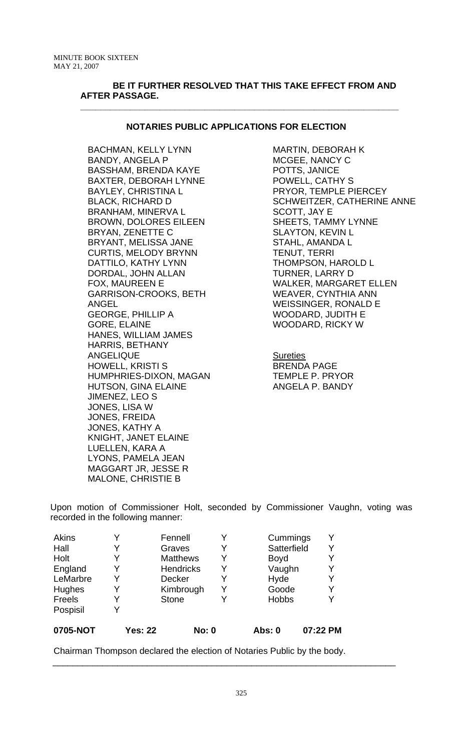## **BE IT FURTHER RESOLVED THAT THIS TAKE EFFECT FROM AND AFTER PASSAGE.**

**\_\_\_\_\_\_\_\_\_\_\_\_\_\_\_\_\_\_\_\_\_\_\_\_\_\_\_\_\_\_\_\_\_\_\_\_\_\_\_\_\_\_\_\_\_\_\_\_\_\_\_\_\_\_\_\_\_\_\_\_\_\_\_\_** 

# **NOTARIES PUBLIC APPLICATIONS FOR ELECTION**

BACHMAN, KELLY LYNN BANDY, ANGELA P BASSHAM, BRENDA KAYE BAXTER, DEBORAH LYNNE BAYLEY, CHRISTINA L BLACK, RICHARD D BRANHAM, MINERVA L BROWN, DOLORES EILEEN BRYAN, ZENETTE C BRYANT, MELISSA JANE CURTIS, MELODY BRYNN DATTILO, KATHY LYNN DORDAL, JOHN ALLAN FOX, MAUREEN E GARRISON-CROOKS, BETH ANGEL GEORGE, PHILLIP A GORE, ELAINE HANES, WILLIAM JAMES HARRIS, BETHANY ANGELIQUE HOWELL, KRISTI S HUMPHRIES-DIXON, MAGAN HUTSON, GINA ELAINE JIMENEZ, LEO S JONES, LISA W JONES, FREIDA JONES, KATHY A KNIGHT, JANET ELAINE LUELLEN, KARA A LYONS, PAMELA JEAN MAGGART JR, JESSE R MALONE, CHRISTIE B

MARTIN, DEBORAH K MCGEE, NANCY C POTTS, JANICE POWELL, CATHY S PRYOR, TEMPLE PIERCEY SCHWEITZER, CATHERINE ANNE SCOTT, JAY E SHEETS, TAMMY LYNNE SLAYTON, KEVIN L STAHL, AMANDA L TENUT, TERRI THOMPSON, HAROLD L TURNER, LARRY D WALKER, MARGARET ELLEN WEAVER, CYNTHIA ANN WEISSINGER, RONALD E WOODARD, JUDITH E WOODARD, RICKY W

**Sureties** BRENDA PAGE TEMPLE P. PRYOR ANGELA P. BANDY

Upon motion of Commissioner Holt, seconded by Commissioner Vaughn, voting was recorded in the following manner:

| Akins    | Y | Fennell          |              |   | Cummings     |          |
|----------|---|------------------|--------------|---|--------------|----------|
| Hall     | Y | Graves           |              |   | Satterfield  |          |
| Holt     | Y | <b>Matthews</b>  |              | Y | <b>Boyd</b>  |          |
| England  | Y | <b>Hendricks</b> |              |   | Vaughn       |          |
| LeMarbre | Y | <b>Decker</b>    |              | Y | Hyde         |          |
| Hughes   | Y | Kimbrough        |              | Y | Goode        | Y        |
| Freels   | Y | <b>Stone</b>     |              |   | <b>Hobbs</b> |          |
| Pospisil | Y |                  |              |   |              |          |
| 0705-NOT |   | <b>Yes: 22</b>   | <b>No: 0</b> |   | Abs: 0       | 07:22 PM |

Chairman Thompson declared the election of Notaries Public by the body.

\_\_\_\_\_\_\_\_\_\_\_\_\_\_\_\_\_\_\_\_\_\_\_\_\_\_\_\_\_\_\_\_\_\_\_\_\_\_\_\_\_\_\_\_\_\_\_\_\_\_\_\_\_\_\_\_\_\_\_\_\_\_\_\_\_\_\_\_\_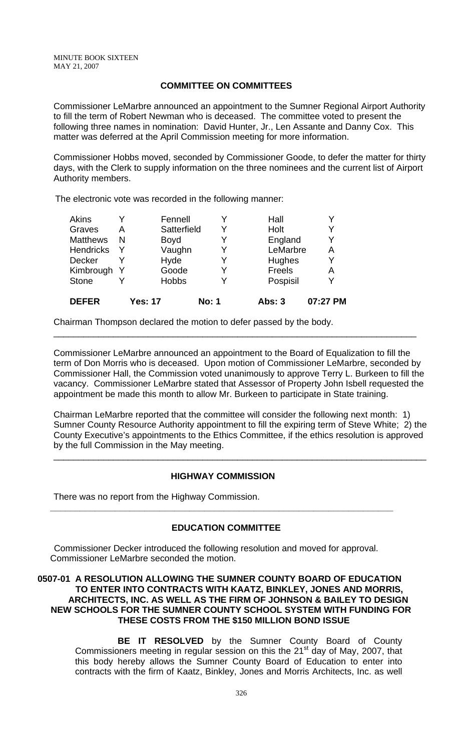## **COMMITTEE ON COMMITTEES**

Commissioner LeMarbre announced an appointment to the Sumner Regional Airport Authority to fill the term of Robert Newman who is deceased. The committee voted to present the following three names in nomination: David Hunter, Jr., Len Assante and Danny Cox. This matter was deferred at the April Commission meeting for more information.

Commissioner Hobbs moved, seconded by Commissioner Goode, to defer the matter for thirty days, with the Clerk to supply information on the three nominees and the current list of Airport Authority members.

The electronic vote was recorded in the following manner:

| <b>DEFER</b>     |     | <b>Yes: 17</b> | <b>No: 1</b> | Abs: 3   | 07:27 PM |
|------------------|-----|----------------|--------------|----------|----------|
| <b>Stone</b>     |     | <b>Hobbs</b>   |              | Pospisil |          |
| Kimbrough        | - Y | Goode          | Y            | Freels   | Α        |
| <b>Decker</b>    |     | Hyde           |              | Hughes   |          |
| <b>Hendricks</b> |     | Vaughn         |              | LeMarbre | Α        |
| <b>Matthews</b>  | N   | Boyd           |              | England  |          |
| Graves           | A   | Satterfield    | Y            | Holt     |          |
| <b>Akins</b>     |     | Fennell        |              | Hall     |          |

Chairman Thompson declared the motion to defer passed by the body.

Commissioner LeMarbre announced an appointment to the Board of Equalization to fill the term of Don Morris who is deceased. Upon motion of Commissioner LeMarbre, seconded by Commissioner Hall, the Commission voted unanimously to approve Terry L. Burkeen to fill the vacancy. Commissioner LeMarbre stated that Assessor of Property John Isbell requested the appointment be made this month to allow Mr. Burkeen to participate in State training.

\_\_\_\_\_\_\_\_\_\_\_\_\_\_\_\_\_\_\_\_\_\_\_\_\_\_\_\_\_\_\_\_\_\_\_\_\_\_\_\_\_\_\_\_\_\_\_\_\_\_\_\_\_\_\_\_\_\_\_\_\_\_\_\_\_\_\_\_\_\_\_\_\_

Chairman LeMarbre reported that the committee will consider the following next month: 1) Sumner County Resource Authority appointment to fill the expiring term of Steve White; 2) the County Executive's appointments to the Ethics Committee, if the ethics resolution is approved by the full Commission in the May meeting.

\_\_\_\_\_\_\_\_\_\_\_\_\_\_\_\_\_\_\_\_\_\_\_\_\_\_\_\_\_\_\_\_\_\_\_\_\_\_\_\_\_\_\_\_\_\_\_\_\_\_\_\_\_\_\_\_\_\_\_\_\_\_\_\_\_\_\_\_\_\_\_\_\_\_\_

### **HIGHWAY COMMISSION**

**\_\_\_\_\_\_\_\_\_\_\_\_\_\_\_\_\_\_\_\_\_\_\_\_\_\_\_\_\_\_\_\_\_\_\_\_\_\_\_\_\_\_\_\_\_\_\_\_\_\_\_\_\_\_\_\_\_\_\_\_\_\_\_\_\_\_\_\_\_** 

There was no report from the Highway Commission.

## **EDUCATION COMMITTEE**

Commissioner Decker introduced the following resolution and moved for approval. Commissioner LeMarbre seconded the motion.

## **0507-01 A RESOLUTION ALLOWING THE SUMNER COUNTY BOARD OF EDUCATION TO ENTER INTO CONTRACTS WITH KAATZ, BINKLEY, JONES AND MORRIS, ARCHITECTS, INC. AS WELL AS THE FIRM OF JOHNSON & BAILEY TO DESIGN NEW SCHOOLS FOR THE SUMNER COUNTY SCHOOL SYSTEM WITH FUNDING FOR THESE COSTS FROM THE \$150 MILLION BOND ISSUE**

 **BE IT RESOLVED** by the Sumner County Board of County Commissioners meeting in regular session on this the 21<sup>st</sup> day of May, 2007, that this body hereby allows the Sumner County Board of Education to enter into contracts with the firm of Kaatz, Binkley, Jones and Morris Architects, Inc. as well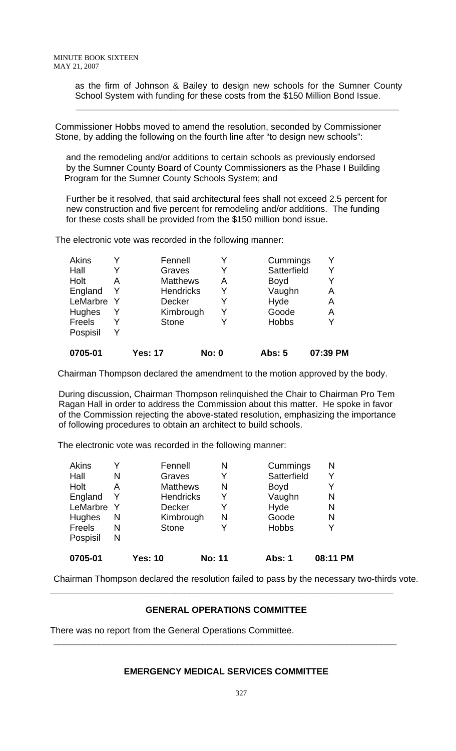as the firm of Johnson & Bailey to design new schools for the Sumner County School System with funding for these costs from the \$150 Million Bond Issue.

 Commissioner Hobbs moved to amend the resolution, seconded by Commissioner Stone, by adding the following on the fourth line after "to design new schools":

 **\_\_\_\_\_\_\_\_\_\_\_\_\_\_\_\_\_\_\_\_\_\_\_\_\_\_\_\_\_\_\_\_\_\_\_\_\_\_\_\_\_\_\_\_\_\_\_\_\_\_\_\_\_\_\_\_\_\_\_\_\_\_\_\_\_** 

 and the remodeling and/or additions to certain schools as previously endorsed by the Sumner County Board of County Commissioners as the Phase I Building Program for the Sumner County Schools System; and

 Further be it resolved, that said architectural fees shall not exceed 2.5 percent for new construction and five percent for remodeling and/or additions. The funding for these costs shall be provided from the \$150 million bond issue.

The electronic vote was recorded in the following manner:

| Holt<br>England | A<br>Y | <b>Matthews</b><br><b>Hendricks</b> | А<br>Y       | <b>Boyd</b><br>Vaughn | Y<br>А   |
|-----------------|--------|-------------------------------------|--------------|-----------------------|----------|
| LeMarbre        |        | <b>Decker</b>                       | Y            | Hyde                  | Α        |
| Hughes          | Y      | Kimbrough                           | Y            | Goode                 | А        |
| Freels          | Y      | <b>Stone</b>                        |              | <b>Hobbs</b>          | Y        |
| Pospisil        | v      |                                     |              |                       |          |
| 0705-01         |        | <b>Yes: 17</b>                      | <b>No: 0</b> | <b>Abs: 5</b>         | 07:39 PM |

Chairman Thompson declared the amendment to the motion approved by the body.

 During discussion, Chairman Thompson relinquished the Chair to Chairman Pro Tem Ragan Hall in order to address the Commission about this matter. He spoke in favor of the Commission rejecting the above-stated resolution, emphasizing the importance of following procedures to obtain an architect to build schools.

The electronic vote was recorded in the following manner:

| 0705-01  |   | <b>Yes: 10</b>   | <b>No: 11</b> | <b>Abs: 1</b> | 08:11 PM |
|----------|---|------------------|---------------|---------------|----------|
| Pospisil | N |                  |               |               |          |
| Freels   | N | <b>Stone</b>     | Y             | <b>Hobbs</b>  | Y        |
| Hughes   | N | Kimbrough        | N             | Goode         | N        |
| LeMarbre | Y | <b>Decker</b>    |               | Hyde          | N        |
| England  | Y | <b>Hendricks</b> | Y             | Vaughn        | N        |
| Holt     | A | <b>Matthews</b>  | N             | <b>Boyd</b>   | Y        |
| Hall     | N | Graves           | Y             | Satterfield   |          |
| Akins    |   | Fennell          | N             | Cummings      | N        |

Chairman Thompson declared the resolution failed to pass by the necessary two-thirds vote.

# **GENERAL OPERATIONS COMMITTEE**

**\_\_\_\_\_\_\_\_\_\_\_\_\_\_\_\_\_\_\_\_\_\_\_\_\_\_\_\_\_\_\_\_\_\_\_\_\_\_\_\_\_\_\_\_\_\_\_\_\_\_\_\_\_\_\_\_\_\_\_\_\_\_\_\_\_\_\_\_\_** 

There was no report from the General Operations Committee.

# **EMERGENCY MEDICAL SERVICES COMMITTEE**

**\_\_\_\_\_\_\_\_\_\_\_\_\_\_\_\_\_\_\_\_\_\_\_\_\_\_\_\_\_\_\_\_\_\_\_\_\_\_\_\_\_\_\_\_\_\_\_\_\_\_\_\_\_\_\_\_\_\_\_\_\_\_\_\_\_\_\_\_\_**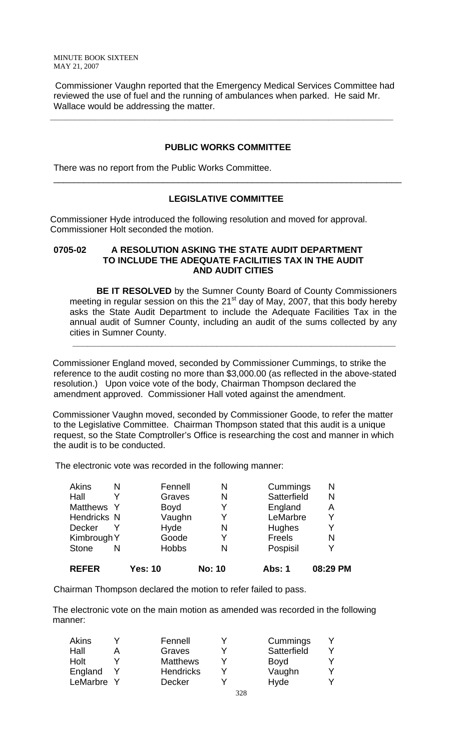Commissioner Vaughn reported that the Emergency Medical Services Committee had reviewed the use of fuel and the running of ambulances when parked. He said Mr. Wallace would be addressing the matter.

**\_\_\_\_\_\_\_\_\_\_\_\_\_\_\_\_\_\_\_\_\_\_\_\_\_\_\_\_\_\_\_\_\_\_\_\_\_\_\_\_\_\_\_\_\_\_\_\_\_\_\_\_\_\_\_\_\_\_\_\_\_\_\_\_\_\_\_\_\_** 

## **PUBLIC WORKS COMMITTEE**

There was no report from the Public Works Committee.

## **LEGISLATIVE COMMITTEE**

\_\_\_\_\_\_\_\_\_\_\_\_\_\_\_\_\_\_\_\_\_\_\_\_\_\_\_\_\_\_\_\_\_\_\_\_\_\_\_\_\_\_\_\_\_\_\_\_\_\_\_\_\_\_\_\_\_\_\_\_\_\_\_\_\_\_\_\_\_\_

Commissioner Hyde introduced the following resolution and moved for approval. Commissioner Holt seconded the motion.

### **0705-02 A RESOLUTION ASKING THE STATE AUDIT DEPARTMENT TO INCLUDE THE ADEQUATE FACILITIES TAX IN THE AUDIT AND AUDIT CITIES**

**BE IT RESOLVED** by the Sumner County Board of County Commissioners meeting in regular session on this the 21<sup>st</sup> day of May, 2007, that this body hereby asks the State Audit Department to include the Adequate Facilities Tax in the annual audit of Sumner County, including an audit of the sums collected by any cities in Sumner County.

 Commissioner England moved, seconded by Commissioner Cummings, to strike the reference to the audit costing no more than \$3,000.00 (as reflected in the above-stated resolution.) Upon voice vote of the body, Chairman Thompson declared the amendment approved. Commissioner Hall voted against the amendment.

 **\_\_\_\_\_\_\_\_\_\_\_\_\_\_\_\_\_\_\_\_\_\_\_\_\_\_\_\_\_\_\_\_\_\_\_\_\_\_\_\_\_\_\_\_\_\_\_\_\_\_\_\_\_\_\_\_\_\_\_\_\_\_\_\_\_** 

 Commissioner Vaughn moved, seconded by Commissioner Goode, to refer the matter to the Legislative Committee. Chairman Thompson stated that this audit is a unique request, so the State Comptroller's Office is researching the cost and manner in which the audit is to be conducted.

The electronic vote was recorded in the following manner:

| <b>REFER</b>       |   | <b>Yes: 10</b> | <b>No: 10</b> | Abs: 1        | 08:29 PM |
|--------------------|---|----------------|---------------|---------------|----------|
| <b>Stone</b>       | N | <b>Hobbs</b>   | N             | Pospisil      | Y        |
| Kimbrough Y        |   | Goode          | Y             | Freels        | N        |
| <b>Decker</b>      |   | Hyde           | N             | <b>Hughes</b> | Y        |
| <b>Hendricks N</b> |   | Vaughn         |               | LeMarbre      | Y        |
| Matthews Y         |   | <b>Boyd</b>    |               | England       | Α        |
| Hall               |   | Graves         | N             | Satterfield   | N        |
| Akins              | N | Fennell        | N             | Cummings      | N        |

Chairman Thompson declared the motion to refer failed to pass.

 The electronic vote on the main motion as amended was recorded in the following manner:

| Akins      | Fennell          |  | Cummings    |  |
|------------|------------------|--|-------------|--|
| Hall       | Graves           |  | Satterfield |  |
| Holt       | <b>Matthews</b>  |  | <b>Boyd</b> |  |
| England    | <b>Hendricks</b> |  | Vaughn      |  |
| LeMarbre Y | <b>Decker</b>    |  | Hyde        |  |
|            |                  |  |             |  |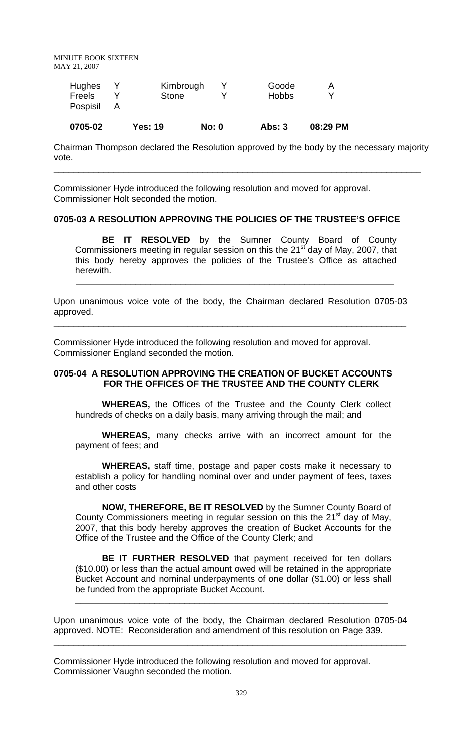| Hughes<br>Kimbrough<br>Goode<br>Α<br>Freels<br>$\checkmark$<br><b>Hobbs</b><br><b>Stone</b><br>Pospisil | 0705-02 | <b>Yes: 19</b> | No: 0 | <b>Abs: 3</b> | 08:29 PM |
|---------------------------------------------------------------------------------------------------------|---------|----------------|-------|---------------|----------|
|                                                                                                         |         |                |       |               |          |

Chairman Thompson declared the Resolution approved by the body by the necessary majority vote.

\_\_\_\_\_\_\_\_\_\_\_\_\_\_\_\_\_\_\_\_\_\_\_\_\_\_\_\_\_\_\_\_\_\_\_\_\_\_\_\_\_\_\_\_\_\_\_\_\_\_\_\_\_\_\_\_\_\_\_\_\_\_\_\_\_\_\_\_\_\_\_\_\_\_

Commissioner Hyde introduced the following resolution and moved for approval. Commissioner Holt seconded the motion.

#### **0705-03 A RESOLUTION APPROVING THE POLICIES OF THE TRUSTEE'S OFFICE**

**BE IT RESOLVED** by the Sumner County Board of County Commissioners meeting in regular session on this the 21<sup>st</sup> day of May, 2007, that this body hereby approves the policies of the Trustee's Office as attached herewith.

Upon unanimous voice vote of the body, the Chairman declared Resolution 0705-03 approved.

\_\_\_\_\_\_\_\_\_\_\_\_\_\_\_\_\_\_\_\_\_\_\_\_\_\_\_\_\_\_\_\_\_\_\_\_\_\_\_\_\_\_\_\_\_\_\_\_\_\_\_\_\_\_\_\_\_\_\_\_\_\_\_\_\_\_\_\_\_\_\_

 **\_\_\_\_\_\_\_\_\_\_\_\_\_\_\_\_\_\_\_\_\_\_\_\_\_\_\_\_\_\_\_\_\_\_\_\_\_\_\_\_\_\_\_\_\_\_\_\_\_\_\_\_\_\_\_\_\_\_\_\_\_\_\_\_**

Commissioner Hyde introduced the following resolution and moved for approval. Commissioner England seconded the motion.

### **0705-04 A RESOLUTION APPROVING THE CREATION OF BUCKET ACCOUNTS FOR THE OFFICES OF THE TRUSTEE AND THE COUNTY CLERK**

**WHEREAS,** the Offices of the Trustee and the County Clerk collect hundreds of checks on a daily basis, many arriving through the mail; and

**WHEREAS,** many checks arrive with an incorrect amount for the payment of fees; and

**WHEREAS,** staff time, postage and paper costs make it necessary to establish a policy for handling nominal over and under payment of fees, taxes and other costs

**NOW, THEREFORE, BE IT RESOLVED** by the Sumner County Board of County Commissioners meeting in regular session on this the 21<sup>st</sup> day of May, 2007, that this body hereby approves the creation of Bucket Accounts for the Office of the Trustee and the Office of the County Clerk; and

**BE IT FURTHER RESOLVED** that payment received for ten dollars (\$10.00) or less than the actual amount owed will be retained in the appropriate Bucket Account and nominal underpayments of one dollar (\$1.00) or less shall be funded from the appropriate Bucket Account.

\_\_\_\_\_\_\_\_\_\_\_\_\_\_\_\_\_\_\_\_\_\_\_\_\_\_\_\_\_\_\_\_\_\_\_\_\_\_\_\_\_\_\_\_\_\_\_\_\_\_\_\_\_\_\_\_\_\_\_\_\_\_\_

Upon unanimous voice vote of the body, the Chairman declared Resolution 0705-04 approved. NOTE: Reconsideration and amendment of this resolution on Page 339.

\_\_\_\_\_\_\_\_\_\_\_\_\_\_\_\_\_\_\_\_\_\_\_\_\_\_\_\_\_\_\_\_\_\_\_\_\_\_\_\_\_\_\_\_\_\_\_\_\_\_\_\_\_\_\_\_\_\_\_\_\_\_\_\_\_\_\_\_\_\_\_

Commissioner Hyde introduced the following resolution and moved for approval. Commissioner Vaughn seconded the motion.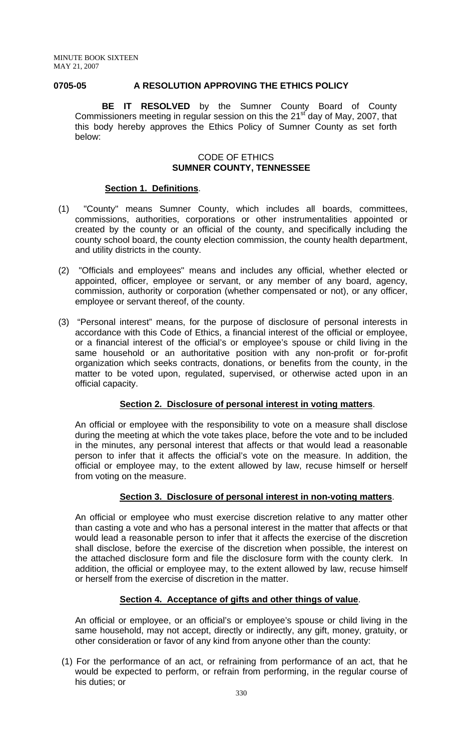### **0705-05 A RESOLUTION APPROVING THE ETHICS POLICY**

**BE IT RESOLVED** by the Sumner County Board of County Commissioners meeting in regular session on this the 21<sup>st</sup> day of May, 2007, that this body hereby approves the Ethics Policy of Sumner County as set forth below:

### CODE OF ETHICS **SUMNER COUNTY, TENNESSEE**

#### **Section 1. Definitions**.

- (1) "County" means Sumner County, which includes all boards, committees, commissions, authorities, corporations or other instrumentalities appointed or created by the county or an official of the county, and specifically including the county school board, the county election commission, the county health department, and utility districts in the county.
- (2) "Officials and employees" means and includes any official, whether elected or appointed, officer, employee or servant, or any member of any board, agency, commission, authority or corporation (whether compensated or not), or any officer, employee or servant thereof, of the county.
- (3) "Personal interest" means, for the purpose of disclosure of personal interests in accordance with this Code of Ethics, a financial interest of the official or employee, or a financial interest of the official's or employee's spouse or child living in the same household or an authoritative position with any non-profit or for-profit organization which seeks contracts, donations, or benefits from the county, in the matter to be voted upon, regulated, supervised, or otherwise acted upon in an official capacity.

## **Section 2. Disclosure of personal interest in voting matters**.

An official or employee with the responsibility to vote on a measure shall disclose during the meeting at which the vote takes place, before the vote and to be included in the minutes, any personal interest that affects or that would lead a reasonable person to infer that it affects the official's vote on the measure. In addition, the official or employee may, to the extent allowed by law, recuse himself or herself from voting on the measure.

### **Section 3. Disclosure of personal interest in non-voting matters**.

An official or employee who must exercise discretion relative to any matter other than casting a vote and who has a personal interest in the matter that affects or that would lead a reasonable person to infer that it affects the exercise of the discretion shall disclose, before the exercise of the discretion when possible, the interest on the attached disclosure form and file the disclosure form with the county clerk. In addition, the official or employee may, to the extent allowed by law, recuse himself or herself from the exercise of discretion in the matter.

### **Section 4. Acceptance of gifts and other things of value**.

An official or employee, or an official's or employee's spouse or child living in the same household, may not accept, directly or indirectly, any gift, money, gratuity, or other consideration or favor of any kind from anyone other than the county:

(1) For the performance of an act, or refraining from performance of an act, that he would be expected to perform, or refrain from performing, in the regular course of his duties; or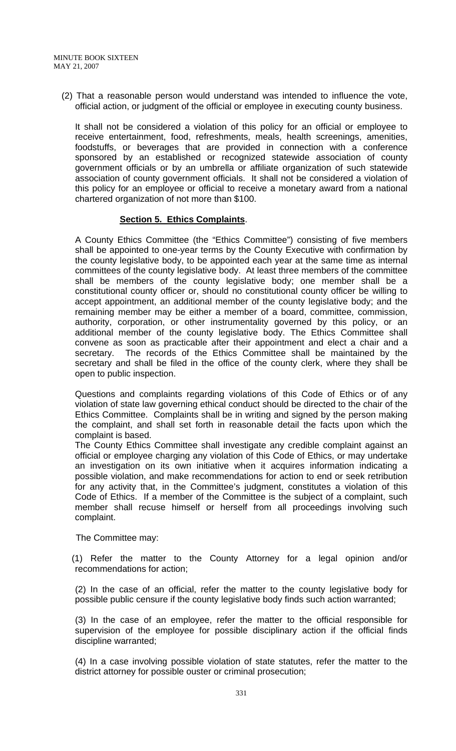(2) That a reasonable person would understand was intended to influence the vote, official action, or judgment of the official or employee in executing county business.

It shall not be considered a violation of this policy for an official or employee to receive entertainment, food, refreshments, meals, health screenings, amenities, foodstuffs, or beverages that are provided in connection with a conference sponsored by an established or recognized statewide association of county government officials or by an umbrella or affiliate organization of such statewide association of county government officials. It shall not be considered a violation of this policy for an employee or official to receive a monetary award from a national chartered organization of not more than \$100.

## **Section 5. Ethics Complaints**.

A County Ethics Committee (the "Ethics Committee") consisting of five members shall be appointed to one-year terms by the County Executive with confirmation by the county legislative body, to be appointed each year at the same time as internal committees of the county legislative body. At least three members of the committee shall be members of the county legislative body; one member shall be a constitutional county officer or, should no constitutional county officer be willing to accept appointment, an additional member of the county legislative body; and the remaining member may be either a member of a board, committee, commission, authority, corporation, or other instrumentality governed by this policy, or an additional member of the county legislative body. The Ethics Committee shall convene as soon as practicable after their appointment and elect a chair and a secretary. The records of the Ethics Committee shall be maintained by the secretary and shall be filed in the office of the county clerk, where they shall be open to public inspection.

Questions and complaints regarding violations of this Code of Ethics or of any violation of state law governing ethical conduct should be directed to the chair of the Ethics Committee. Complaints shall be in writing and signed by the person making the complaint, and shall set forth in reasonable detail the facts upon which the complaint is based.

The County Ethics Committee shall investigate any credible complaint against an official or employee charging any violation of this Code of Ethics, or may undertake an investigation on its own initiative when it acquires information indicating a possible violation, and make recommendations for action to end or seek retribution for any activity that, in the Committee's judgment, constitutes a violation of this Code of Ethics. If a member of the Committee is the subject of a complaint, such member shall recuse himself or herself from all proceedings involving such complaint.

The Committee may:

(1) Refer the matter to the County Attorney for a legal opinion and/or recommendations for action;

 (2) In the case of an official, refer the matter to the county legislative body for possible public censure if the county legislative body finds such action warranted;

 (3) In the case of an employee, refer the matter to the official responsible for supervision of the employee for possible disciplinary action if the official finds discipline warranted;

 (4) In a case involving possible violation of state statutes, refer the matter to the district attorney for possible ouster or criminal prosecution;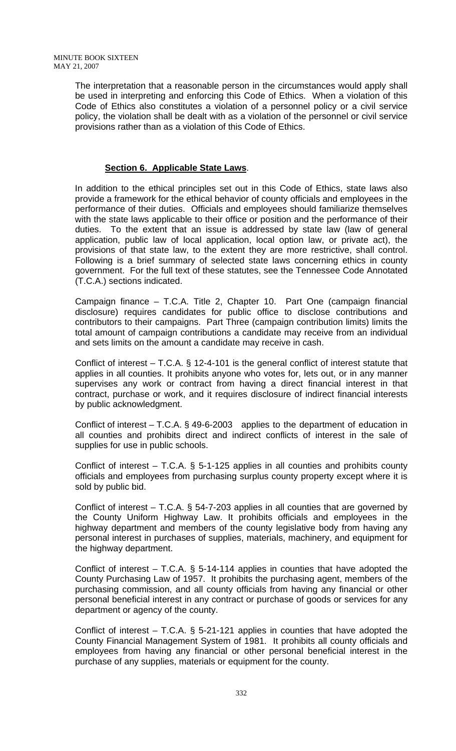The interpretation that a reasonable person in the circumstances would apply shall be used in interpreting and enforcing this Code of Ethics. When a violation of this Code of Ethics also constitutes a violation of a personnel policy or a civil service policy, the violation shall be dealt with as a violation of the personnel or civil service provisions rather than as a violation of this Code of Ethics.

# **Section 6. Applicable State Laws**.

In addition to the ethical principles set out in this Code of Ethics, state laws also provide a framework for the ethical behavior of county officials and employees in the performance of their duties. Officials and employees should familiarize themselves with the state laws applicable to their office or position and the performance of their duties. To the extent that an issue is addressed by state law (law of general application, public law of local application, local option law, or private act), the provisions of that state law, to the extent they are more restrictive, shall control. Following is a brief summary of selected state laws concerning ethics in county government. For the full text of these statutes, see the Tennessee Code Annotated (T.C.A.) sections indicated.

Campaign finance – T.C.A. Title 2, Chapter 10. Part One (campaign financial disclosure) requires candidates for public office to disclose contributions and contributors to their campaigns. Part Three (campaign contribution limits) limits the total amount of campaign contributions a candidate may receive from an individual and sets limits on the amount a candidate may receive in cash.

Conflict of interest – T.C.A. § 12-4-101 is the general conflict of interest statute that applies in all counties. It prohibits anyone who votes for, lets out, or in any manner supervises any work or contract from having a direct financial interest in that contract, purchase or work, and it requires disclosure of indirect financial interests by public acknowledgment.

Conflict of interest – T.C.A. § 49-6-2003 applies to the department of education in all counties and prohibits direct and indirect conflicts of interest in the sale of supplies for use in public schools.

Conflict of interest – T.C.A. § 5-1-125 applies in all counties and prohibits county officials and employees from purchasing surplus county property except where it is sold by public bid.

Conflict of interest – T.C.A. § 54-7-203 applies in all counties that are governed by the County Uniform Highway Law. It prohibits officials and employees in the highway department and members of the county legislative body from having any personal interest in purchases of supplies, materials, machinery, and equipment for the highway department.

Conflict of interest – T.C.A. § 5-14-114 applies in counties that have adopted the County Purchasing Law of 1957. It prohibits the purchasing agent, members of the purchasing commission, and all county officials from having any financial or other personal beneficial interest in any contract or purchase of goods or services for any department or agency of the county.

Conflict of interest – T.C.A. § 5-21-121 applies in counties that have adopted the County Financial Management System of 1981. It prohibits all county officials and employees from having any financial or other personal beneficial interest in the purchase of any supplies, materials or equipment for the county.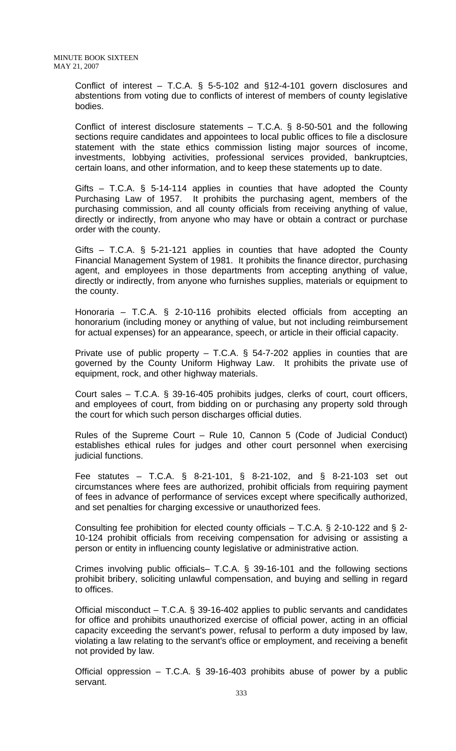Conflict of interest – T.C.A. § 5-5-102 and §12-4-101 govern disclosures and abstentions from voting due to conflicts of interest of members of county legislative bodies.

Conflict of interest disclosure statements – T.C.A. § 8-50-501 and the following sections require candidates and appointees to local public offices to file a disclosure statement with the state ethics commission listing major sources of income, investments, lobbying activities, professional services provided, bankruptcies, certain loans, and other information, and to keep these statements up to date.

Gifts – T.C.A. § 5-14-114 applies in counties that have adopted the County Purchasing Law of 1957. It prohibits the purchasing agent, members of the purchasing commission, and all county officials from receiving anything of value, directly or indirectly, from anyone who may have or obtain a contract or purchase order with the county.

Gifts – T.C.A. § 5-21-121 applies in counties that have adopted the County Financial Management System of 1981. It prohibits the finance director, purchasing agent, and employees in those departments from accepting anything of value, directly or indirectly, from anyone who furnishes supplies, materials or equipment to the county.

Honoraria – T.C.A. § 2-10-116 prohibits elected officials from accepting an honorarium (including money or anything of value, but not including reimbursement for actual expenses) for an appearance, speech, or article in their official capacity.

Private use of public property  $-$  T.C.A. § 54-7-202 applies in counties that are governed by the County Uniform Highway Law. It prohibits the private use of equipment, rock, and other highway materials.

Court sales – T.C.A. § 39-16-405 prohibits judges, clerks of court, court officers, and employees of court, from bidding on or purchasing any property sold through the court for which such person discharges official duties.

Rules of the Supreme Court – Rule 10, Cannon 5 (Code of Judicial Conduct) establishes ethical rules for judges and other court personnel when exercising judicial functions.

Fee statutes – T.C.A. § 8-21-101, § 8-21-102, and § 8-21-103 set out circumstances where fees are authorized, prohibit officials from requiring payment of fees in advance of performance of services except where specifically authorized, and set penalties for charging excessive or unauthorized fees.

Consulting fee prohibition for elected county officials – T.C.A. § 2-10-122 and § 2- 10-124 prohibit officials from receiving compensation for advising or assisting a person or entity in influencing county legislative or administrative action.

Crimes involving public officials– T.C.A. § 39-16-101 and the following sections prohibit bribery, soliciting unlawful compensation, and buying and selling in regard to offices.

Official misconduct – T.C.A. § 39-16-402 applies to public servants and candidates for office and prohibits unauthorized exercise of official power, acting in an official capacity exceeding the servant's power, refusal to perform a duty imposed by law, violating a law relating to the servant's office or employment, and receiving a benefit not provided by law.

Official oppression – T.C.A. § 39-16-403 prohibits abuse of power by a public servant.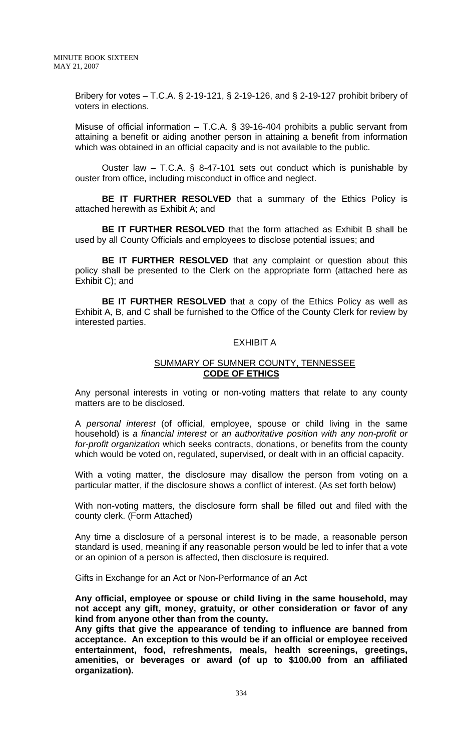Bribery for votes – T.C.A. § 2-19-121, § 2-19-126, and § 2-19-127 prohibit bribery of voters in elections.

Misuse of official information – T.C.A. § 39-16-404 prohibits a public servant from attaining a benefit or aiding another person in attaining a benefit from information which was obtained in an official capacity and is not available to the public.

Ouster law – T.C.A. § 8-47-101 sets out conduct which is punishable by ouster from office, including misconduct in office and neglect.

**BE IT FURTHER RESOLVED** that a summary of the Ethics Policy is attached herewith as Exhibit A; and

**BE IT FURTHER RESOLVED** that the form attached as Exhibit B shall be used by all County Officials and employees to disclose potential issues; and

**BE IT FURTHER RESOLVED** that any complaint or question about this policy shall be presented to the Clerk on the appropriate form (attached here as Exhibit C); and

**BE IT FURTHER RESOLVED** that a copy of the Ethics Policy as well as Exhibit A, B, and C shall be furnished to the Office of the County Clerk for review by interested parties.

#### EXHIBIT A

### SUMMARY OF SUMNER COUNTY, TENNESSEE **CODE OF ETHICS**

Any personal interests in voting or non-voting matters that relate to any county matters are to be disclosed.

A *personal interest* (of official, employee, spouse or child living in the same household) is *a financial interest* or *an authoritative position with any non-profit or for-profit organization* which seeks contracts, donations, or benefits from the county which would be voted on, regulated, supervised, or dealt with in an official capacity.

With a voting matter, the disclosure may disallow the person from voting on a particular matter, if the disclosure shows a conflict of interest. (As set forth below)

With non-voting matters, the disclosure form shall be filled out and filed with the county clerk. (Form Attached)

Any time a disclosure of a personal interest is to be made, a reasonable person standard is used, meaning if any reasonable person would be led to infer that a vote or an opinion of a person is affected, then disclosure is required.

Gifts in Exchange for an Act or Non-Performance of an Act

**Any official, employee or spouse or child living in the same household, may not accept any gift, money, gratuity, or other consideration or favor of any kind from anyone other than from the county.** 

**Any gifts that give the appearance of tending to influence are banned from acceptance. An exception to this would be if an official or employee received entertainment, food, refreshments, meals, health screenings, greetings, amenities, or beverages or award (of up to \$100.00 from an affiliated organization).**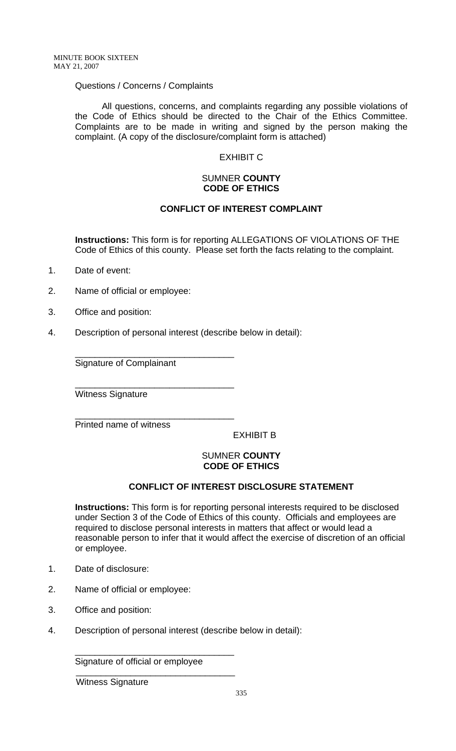## Questions / Concerns / Complaints

All questions, concerns, and complaints regarding any possible violations of the Code of Ethics should be directed to the Chair of the Ethics Committee. Complaints are to be made in writing and signed by the person making the complaint. (A copy of the disclosure/complaint form is attached)

# EXHIBIT C

### SUMNER **COUNTY CODE OF ETHICS**

# **CONFLICT OF INTEREST COMPLAINT**

**Instructions:** This form is for reporting ALLEGATIONS OF VIOLATIONS OF THE Code of Ethics of this county. Please set forth the facts relating to the complaint.

- 1. Date of event:
- 2. Name of official or employee:
- 3. Office and position:
- 4. Description of personal interest (describe below in detail):

\_\_\_\_\_\_\_\_\_\_\_\_\_\_\_\_\_\_\_\_\_\_\_\_\_\_\_\_\_\_\_\_

\_\_\_\_\_\_\_\_\_\_\_\_\_\_\_\_\_\_\_\_\_\_\_\_\_\_\_\_\_\_\_\_

Signature of Complainant

Witness Signature

\_\_\_\_\_\_\_\_\_\_\_\_\_\_\_\_\_\_\_\_\_\_\_\_\_\_\_\_\_\_\_\_ Printed name of witness

EXHIBIT B

### SUMNER **COUNTY CODE OF ETHICS**

# **CONFLICT OF INTEREST DISCLOSURE STATEMENT**

**Instructions:** This form is for reporting personal interests required to be disclosed under Section 3 of the Code of Ethics of this county. Officials and employees are required to disclose personal interests in matters that affect or would lead a reasonable person to infer that it would affect the exercise of discretion of an official or employee.

- 1. Date of disclosure:
- 2. Name of official or employee:
- 3. Office and position:
- 4. Description of personal interest (describe below in detail):

Signature of official or employee \_\_\_\_\_\_\_\_\_\_\_\_\_\_\_\_\_\_\_\_\_\_\_\_\_\_\_\_\_\_\_\_

\_\_\_\_\_\_\_\_\_\_\_\_\_\_\_\_\_\_\_\_\_\_\_\_\_\_\_\_\_\_\_\_

Witness Signature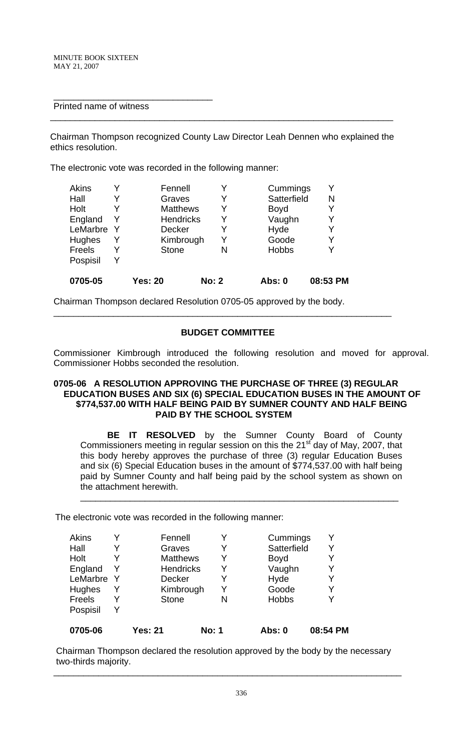## Printed name of witness

\_\_\_\_\_\_\_\_\_\_\_\_\_\_\_\_\_\_\_\_\_\_\_\_\_\_\_\_\_\_\_\_

Chairman Thompson recognized County Law Director Leah Dennen who explained the ethics resolution.

\_\_\_\_\_\_\_\_\_\_\_\_\_\_\_\_\_\_\_\_\_\_\_\_\_\_\_\_\_\_\_\_\_\_\_\_\_\_\_\_\_\_\_\_\_\_\_\_\_\_\_\_\_\_\_\_\_\_\_\_\_\_\_\_\_\_\_\_\_

The electronic vote was recorded in the following manner:

| 0705-05  |   | <b>Yes: 20</b>   | <b>No: 2</b> | <b>Abs: 0</b> | 08:53 PM |
|----------|---|------------------|--------------|---------------|----------|
| Pospisil | Y |                  |              |               |          |
| Freels   | Y | <b>Stone</b>     |              | <b>Hobbs</b>  | Y        |
| Hughes   | Y | Kimbrough        | Y            | Goode         | Y        |
| LeMarbre | Y | <b>Decker</b>    |              | Hyde          | Y        |
| England  | Y | <b>Hendricks</b> | Y            | Vaughn        | Y        |
| Holt     |   | <b>Matthews</b>  | Y            | <b>Boyd</b>   | Y        |
| Hall     |   | Graves           |              | Satterfield   | N        |
| Akins    |   | Fennell          |              | Cummings      | Y        |

Chairman Thompson declared Resolution 0705-05 approved by the body.

#### **BUDGET COMMITTEE**

\_\_\_\_\_\_\_\_\_\_\_\_\_\_\_\_\_\_\_\_\_\_\_\_\_\_\_\_\_\_\_\_\_\_\_\_\_\_\_\_\_\_\_\_\_\_\_\_\_\_\_\_\_\_\_\_\_\_\_\_\_\_\_\_\_\_\_\_

Commissioner Kimbrough introduced the following resolution and moved for approval. Commissioner Hobbs seconded the resolution.

### **0705-06 A RESOLUTION APPROVING THE PURCHASE OF THREE (3) REGULAR EDUCATION BUSES AND SIX (6) SPECIAL EDUCATION BUSES IN THE AMOUNT OF \$774,537.00 WITH HALF BEING PAID BY SUMNER COUNTY AND HALF BEING PAID BY THE SCHOOL SYSTEM**

**BE IT RESOLVED** by the Sumner County Board of County Commissioners meeting in regular session on this the 21<sup>st</sup> day of May, 2007, that this body hereby approves the purchase of three (3) regular Education Buses and six (6) Special Education buses in the amount of \$774,537.00 with half being paid by Sumner County and half being paid by the school system as shown on the attachment herewith.

 $\frac{1}{2}$  ,  $\frac{1}{2}$  ,  $\frac{1}{2}$  ,  $\frac{1}{2}$  ,  $\frac{1}{2}$  ,  $\frac{1}{2}$  ,  $\frac{1}{2}$  ,  $\frac{1}{2}$  ,  $\frac{1}{2}$  ,  $\frac{1}{2}$  ,  $\frac{1}{2}$  ,  $\frac{1}{2}$  ,  $\frac{1}{2}$  ,  $\frac{1}{2}$  ,  $\frac{1}{2}$  ,  $\frac{1}{2}$  ,  $\frac{1}{2}$  ,  $\frac{1}{2}$  ,  $\frac{1$ 

The electronic vote was recorded in the following manner:

| Akins         |   | Fennell          |              | Cummings     |          |
|---------------|---|------------------|--------------|--------------|----------|
| Hall          | Y | Graves           | Y            | Satterfield  | Y        |
| Holt          | Y | <b>Matthews</b>  | Y            | <b>Boyd</b>  |          |
| England       | Y | <b>Hendricks</b> | Y            | Vaughn       | Y        |
| LeMarbre      | Y | <b>Decker</b>    | Y            | Hyde         | Y        |
| Hughes        | Y | Kimbrough        |              | Goode        | Y        |
| <b>Freels</b> | Y | <b>Stone</b>     | N            | <b>Hobbs</b> |          |
| Pospisil      | Y |                  |              |              |          |
| 0705-06       |   | <b>Yes: 21</b>   | <b>No: 1</b> | Abs: 0       | 08:54 PM |

 Chairman Thompson declared the resolution approved by the body by the necessary two-thirds majority.

\_\_\_\_\_\_\_\_\_\_\_\_\_\_\_\_\_\_\_\_\_\_\_\_\_\_\_\_\_\_\_\_\_\_\_\_\_\_\_\_\_\_\_\_\_\_\_\_\_\_\_\_\_\_\_\_\_\_\_\_\_\_\_\_\_\_\_\_\_\_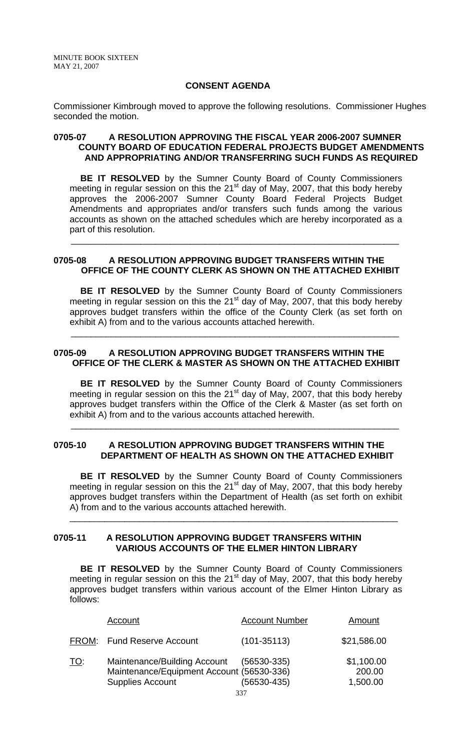### **CONSENT AGENDA**

Commissioner Kimbrough moved to approve the following resolutions. Commissioner Hughes seconded the motion.

### **0705-07 A RESOLUTION APPROVING THE FISCAL YEAR 2006-2007 SUMNER COUNTY BOARD OF EDUCATION FEDERAL PROJECTS BUDGET AMENDMENTS AND APPROPRIATING AND/OR TRANSFERRING SUCH FUNDS AS REQUIRED**

**BE IT RESOLVED** by the Sumner County Board of County Commissioners meeting in regular session on this the  $21<sup>st</sup>$  day of May, 2007, that this body hereby approves the 2006-2007 Sumner County Board Federal Projects Budget Amendments and appropriates and/or transfers such funds among the various accounts as shown on the attached schedules which are hereby incorporated as a part of this resolution.

### **0705-08 A RESOLUTION APPROVING BUDGET TRANSFERS WITHIN THE OFFICE OF THE COUNTY CLERK AS SHOWN ON THE ATTACHED EXHIBIT**

 $\overline{\phantom{a}}$  , and the contribution of the contribution of the contribution of the contribution of the contribution of the contribution of the contribution of the contribution of the contribution of the contribution of the

 **BE IT RESOLVED** by the Sumner County Board of County Commissioners meeting in regular session on this the 21<sup>st</sup> day of May, 2007, that this body hereby approves budget transfers within the office of the County Clerk (as set forth on exhibit A) from and to the various accounts attached herewith.

## **0705-09 A RESOLUTION APPROVING BUDGET TRANSFERS WITHIN THE OFFICE OF THE CLERK & MASTER AS SHOWN ON THE ATTACHED EXHIBIT**

 $\overline{\phantom{a}}$  , and the contribution of the contribution of the contribution of the contribution of the contribution of the contribution of the contribution of the contribution of the contribution of the contribution of the

**BE IT RESOLVED** by the Sumner County Board of County Commissioners meeting in regular session on this the  $21<sup>st</sup>$  day of May, 2007, that this body hereby approves budget transfers within the Office of the Clerk & Master (as set forth on exhibit A) from and to the various accounts attached herewith.

### **0705-10 A RESOLUTION APPROVING BUDGET TRANSFERS WITHIN THE DEPARTMENT OF HEALTH AS SHOWN ON THE ATTACHED EXHIBIT**

 $\overline{\phantom{a}}$  , and the contribution of the contribution of the contribution of the contribution of the contribution of the contribution of the contribution of the contribution of the contribution of the contribution of the

 **BE IT RESOLVED** by the Sumner County Board of County Commissioners meeting in regular session on this the  $21<sup>st</sup>$  day of May, 2007, that this body hereby approves budget transfers within the Department of Health (as set forth on exhibit A) from and to the various accounts attached herewith.

\_\_\_\_\_\_\_\_\_\_\_\_\_\_\_\_\_\_\_\_\_\_\_\_\_\_\_\_\_\_\_\_\_\_\_\_\_\_\_\_\_\_\_\_\_\_\_\_\_\_\_\_\_\_\_\_\_\_\_\_\_\_\_\_\_\_

## **0705-11 A RESOLUTION APPROVING BUDGET TRANSFERS WITHIN VARIOUS ACCOUNTS OF THE ELMER HINTON LIBRARY**

**BE IT RESOLVED** by the Sumner County Board of County Commissioners meeting in regular session on this the  $21<sup>st</sup>$  day of May, 2007, that this body hereby approves budget transfers within various account of the Elmer Hinton Library as follows:

|            | Account                                                                                              | <b>Account Number</b>      | Amount                           |
|------------|------------------------------------------------------------------------------------------------------|----------------------------|----------------------------------|
|            | FROM: Fund Reserve Account                                                                           | $(101 - 35113)$            | \$21,586.00                      |
| <u>TO:</u> | Maintenance/Building Account<br>Maintenance/Equipment Account (56530-336)<br><b>Supplies Account</b> | (56530-335)<br>(56530-435) | \$1,100.00<br>200.00<br>1,500.00 |
|            |                                                                                                      | 337                        |                                  |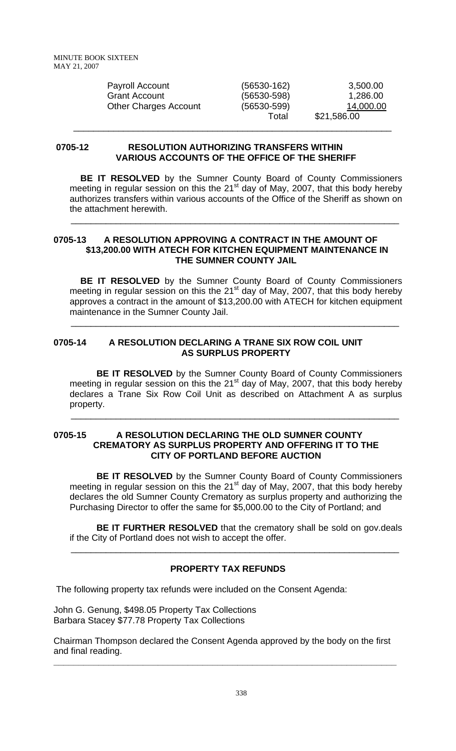| Payroll Account              | $(56530-162)$   | 3,500.00    |
|------------------------------|-----------------|-------------|
| <b>Grant Account</b>         | $(56530 - 598)$ | 1,286.00    |
| <b>Other Charges Account</b> | $(56530 - 599)$ | 14,000.00   |
|                              | Total           | \$21,586.00 |

### **0705-12 RESOLUTION AUTHORIZING TRANSFERS WITHIN VARIOUS ACCOUNTS OF THE OFFICE OF THE SHERIFF**

 $\frac{1}{\sqrt{2}}$  ,  $\frac{1}{\sqrt{2}}$  ,  $\frac{1}{\sqrt{2}}$  ,  $\frac{1}{\sqrt{2}}$  ,  $\frac{1}{\sqrt{2}}$  ,  $\frac{1}{\sqrt{2}}$  ,  $\frac{1}{\sqrt{2}}$  ,  $\frac{1}{\sqrt{2}}$  ,  $\frac{1}{\sqrt{2}}$  ,  $\frac{1}{\sqrt{2}}$  ,  $\frac{1}{\sqrt{2}}$  ,  $\frac{1}{\sqrt{2}}$  ,  $\frac{1}{\sqrt{2}}$  ,  $\frac{1}{\sqrt{2}}$  ,  $\frac{1}{\sqrt{2}}$ 

**BE IT RESOLVED** by the Sumner County Board of County Commissioners meeting in regular session on this the  $21<sup>st</sup>$  day of May, 2007, that this body hereby authorizes transfers within various accounts of the Office of the Sheriff as shown on the attachment herewith.

### **0705-13 A RESOLUTION APPROVING A CONTRACT IN THE AMOUNT OF \$13,200.00 WITH ATECH FOR KITCHEN EQUIPMENT MAINTENANCE IN THE SUMNER COUNTY JAIL**

 $\overline{\phantom{a}}$  , and the contribution of the contribution of the contribution of the contribution of the contribution of  $\overline{\phantom{a}}$ 

 **BE IT RESOLVED** by the Sumner County Board of County Commissioners meeting in regular session on this the 21<sup>st</sup> day of May, 2007, that this body hereby approves a contract in the amount of \$13,200.00 with ATECH for kitchen equipment maintenance in the Sumner County Jail.

 $\overline{\phantom{a}}$  , and the contribution of the contribution of the contribution of the contribution of the contribution of  $\overline{\phantom{a}}$ 

## **0705-14 A RESOLUTION DECLARING A TRANE SIX ROW COIL UNIT AS SURPLUS PROPERTY**

**BE IT RESOLVED** by the Sumner County Board of County Commissioners meeting in regular session on this the  $21<sup>st</sup>$  day of May, 2007, that this body hereby declares a Trane Six Row Coil Unit as described on Attachment A as surplus property.

 $\overline{\phantom{a}}$  , and the contribution of the contribution of the contribution of the contribution of the contribution of  $\overline{\phantom{a}}$ 

### **0705-15 A RESOLUTION DECLARING THE OLD SUMNER COUNTY CREMATORY AS SURPLUS PROPERTY AND OFFERING IT TO THE CITY OF PORTLAND BEFORE AUCTION**

**BE IT RESOLVED** by the Sumner County Board of County Commissioners meeting in regular session on this the 21 $<sup>st</sup>$  day of May, 2007, that this body hereby</sup> declares the old Sumner County Crematory as surplus property and authorizing the Purchasing Director to offer the same for \$5,000.00 to the City of Portland; and

**BE IT FURTHER RESOLVED** that the crematory shall be sold on gov.deals if the City of Portland does not wish to accept the offer.

# **PROPERTY TAX REFUNDS**

 $\overline{\phantom{a}}$  , and the contribution of the contribution of the contribution of the contribution of the contribution of  $\overline{\phantom{a}}$ 

The following property tax refunds were included on the Consent Agenda:

John G. Genung, \$498.05 Property Tax Collections Barbara Stacey \$77.78 Property Tax Collections

Chairman Thompson declared the Consent Agenda approved by the body on the first and final reading.

**\_\_\_\_\_\_\_\_\_\_\_\_\_\_\_\_\_\_\_\_\_\_\_\_\_\_\_\_\_\_\_\_\_\_\_\_\_\_\_\_\_\_\_\_\_\_\_\_\_\_\_\_\_\_\_\_\_\_\_\_\_\_\_\_\_\_\_\_\_**